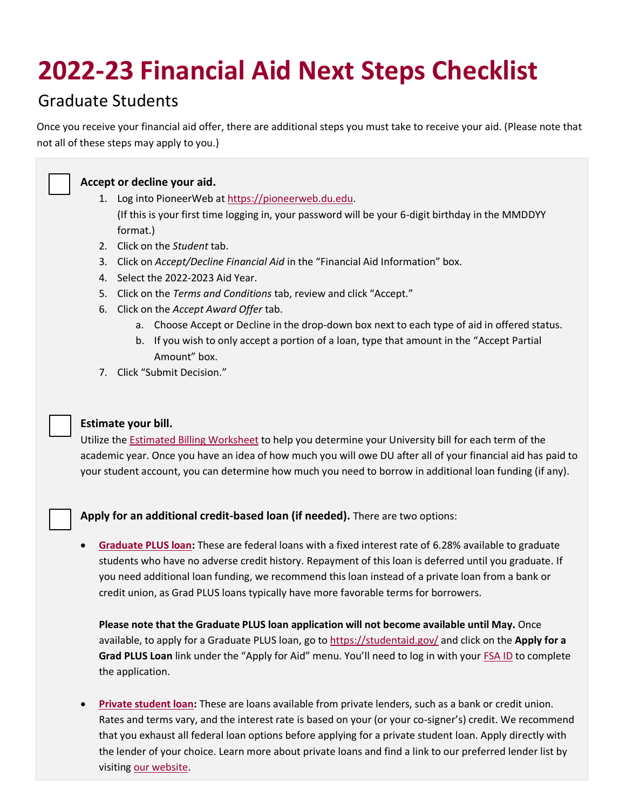# **2022-23 Financial Aid Next Steps Checklist**

## Graduate Students

Once you receive your financial aid offer, there are additional steps you must take to receive your aid. (Please note that not all of these steps may apply to you.)



### **Accept or decline your aid.**

- 1. Log into PioneerWeb a[t https://pioneerweb.du.edu.](https://pioneerweb.du.edu/) (If this is your first time logging in, your password will be your 6-digit birthday in the MMDDYY format.)
- 2. Click on the *Student* tab.
- 3. Click on *Accept/Decline Financial Aid* in the "Financial Aid Information" box.
- 4. Select the 2022-2023 Aid Year.
- 5. Click on the *Terms and Conditions* tab, review and click "Accept."
- 6. Click on the *Accept Award Offer* tab.
	- a. Choose Accept or Decline in the drop-down box next to each type of aid in offered status.
	- b. If you wish to only accept a portion of a loan, type that amount in the "Accept Partial Amount" box.
- 7. Click "Submit Decision."

#### **Estimate your bill.**

Utilize the [Estimated Billing Worksheet](https://www.du.edu/admission-aid/financial-aid-scholarships/graduate-financial-aid/cost-attendance/estimate-your-bill) to help you determine your University bill for each term of the academic year. Once you have an idea of how much you will owe DU after all of your financial aid has paid to your student account, you can determine how much you need to borrow in additional loan funding (if any).

**Apply for an additional credit-based loan (if needed).** There are two options:

• **[Graduate PLUS loan:](https://www.du.edu/admission-aid/financial-aid-scholarships/graduate-financial-aid/types-aid/loans)** These are federal loans with a fixed interest rate of 6.28% available to graduate students who have no adverse credit history. Repayment of this loan is deferred until you graduate. If you need additional loan funding, we recommend this loan instead of a private loan from a bank or credit union, as Grad PLUS loans typically have more favorable terms for borrowers.

**Please note that the Graduate PLUS loan application will not become available until May.** Once available, to apply for a Graduate PLUS loan, go to<https://studentaid.gov/> and click on the **Apply for a Grad PLUS Loan** link under the "Apply for Aid" menu. You'll need to log in with your **[FSA ID](https://fsaid.ed.gov/npas/index.htm)** to complete the application.

• **[Private student loan:](https://www.du.edu/admission-aid/financial-aid-scholarships/graduate-financial-aid/types-aid/loans#private)** These are loans available from private lenders, such as a bank or credit union. Rates and terms vary, and the interest rate is based on your (or your co-signer's) credit. We recommend that you exhaust all federal loan options before applying for a private student loan. Apply directly with the lender of your choice. Learn more about private loans and find a link to our preferred lender list by visiting [our website.](https://www.du.edu/admission-aid/financial-aid-scholarships/graduate-financial-aid/types-aid/loans#private)